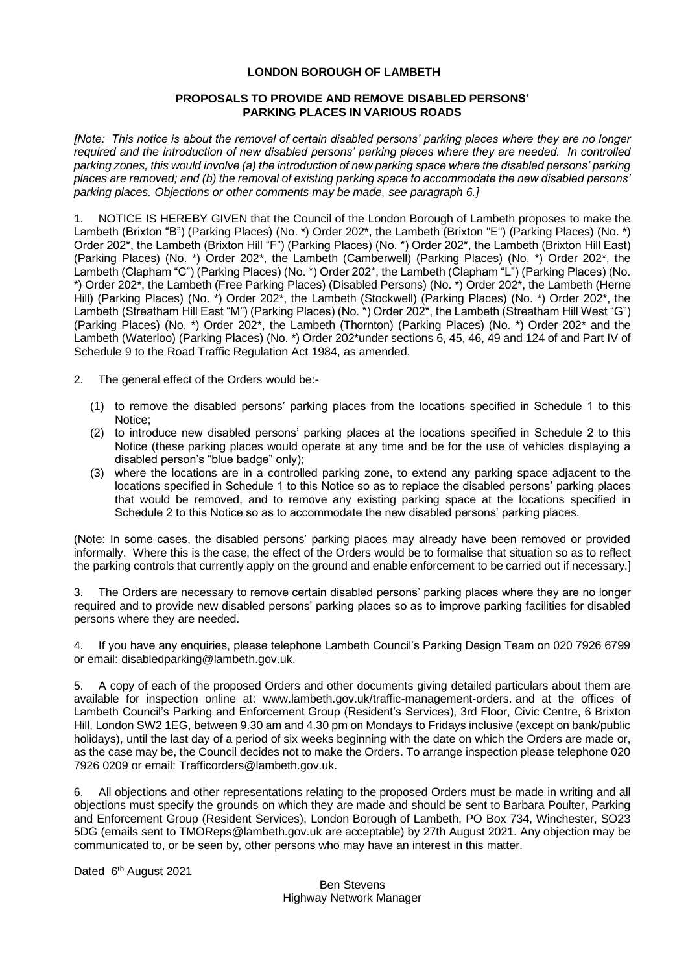# **LONDON BOROUGH OF LAMBETH**

# **PROPOSALS TO PROVIDE AND REMOVE DISABLED PERSONS' PARKING PLACES IN VARIOUS ROADS**

*[Note: This notice is about the removal of certain disabled persons' parking places where they are no longer required and the introduction of new disabled persons' parking places where they are needed. In controlled parking zones, this would involve (a) the introduction of new parking space where the disabled persons' parking places are removed; and (b) the removal of existing parking space to accommodate the new disabled persons' parking places. Objections or other comments may be made, see paragraph 6.]*

1. NOTICE IS HEREBY GIVEN that the Council of the London Borough of Lambeth proposes to make the Lambeth (Brixton "B") (Parking Places) (No. \*) Order 202\*, the Lambeth (Brixton "E") (Parking Places) (No. \*) Order 202\*, the Lambeth (Brixton Hill "F") (Parking Places) (No. \*) Order 202\*, the Lambeth (Brixton Hill East) (Parking Places) (No. \*) Order 202\*, the Lambeth (Camberwell) (Parking Places) (No. \*) Order 202\*, the Lambeth (Clapham "C") (Parking Places) (No. \*) Order 202\*, the Lambeth (Clapham "L") (Parking Places) (No. \*) Order 202\*, the Lambeth (Free Parking Places) (Disabled Persons) (No. \*) Order 202\*, the Lambeth (Herne Hill) (Parking Places) (No. \*) Order 202\*, the Lambeth (Stockwell) (Parking Places) (No. \*) Order 202\*, the Lambeth (Streatham Hill East "M") (Parking Places) (No. \*) Order 202\*, the Lambeth (Streatham Hill West "G") (Parking Places) (No. \*) Order 202\*, the Lambeth (Thornton) (Parking Places) (No. \*) Order 202\* and the Lambeth (Waterloo) (Parking Places) (No. \*) Order 202\*under sections 6, 45, 46, 49 and 124 of and Part IV of Schedule 9 to the Road Traffic Regulation Act 1984, as amended.

2. The general effect of the Orders would be:-

- (1) to remove the disabled persons' parking places from the locations specified in Schedule 1 to this Notice;
- (2) to introduce new disabled persons' parking places at the locations specified in Schedule 2 to this Notice (these parking places would operate at any time and be for the use of vehicles displaying a disabled person's "blue badge" only);
- (3) where the locations are in a controlled parking zone, to extend any parking space adjacent to the locations specified in Schedule 1 to this Notice so as to replace the disabled persons' parking places that would be removed, and to remove any existing parking space at the locations specified in Schedule 2 to this Notice so as to accommodate the new disabled persons' parking places.

(Note: In some cases, the disabled persons' parking places may already have been removed or provided informally. Where this is the case, the effect of the Orders would be to formalise that situation so as to reflect the parking controls that currently apply on the ground and enable enforcement to be carried out if necessary.]

3. The Orders are necessary to remove certain disabled persons' parking places where they are no longer required and to provide new disabled persons' parking places so as to improve parking facilities for disabled persons where they are needed.

4. If you have any enquiries, please telephone Lambeth Council's Parking Design Team on 020 7926 6799 or email: disabledparking@lambeth.gov.uk.

5. A copy of each of the proposed Orders and other documents giving detailed particulars about them are available for inspection online at: [www.lambeth.gov.uk/traffic-management-orders.](https://eur01.safelinks.protection.outlook.com/?url=http%3A%2F%2Fwww.lambeth.gov.uk%2Ftraffic-management-orders&data=04%7C01%7CSahil.Dalsania%40projectcentre.co.uk%7Cd5f8781950a048ec7af708d920373c88%7C3734172ae82a4ac7a3d302949970d5e6%7C0%7C0%7C637576243876641921%7CUnknown%7CTWFpbGZsb3d8eyJWIjoiMC4wLjAwMDAiLCJQIjoiV2luMzIiLCJBTiI6Ik1haWwiLCJXVCI6Mn0%3D%7C1000&sdata=LbcG45UHIvK3V3Yhycdx16pImxK2bUPFL%2BY6oKh0ACY%3D&reserved=0) and at the offices of Lambeth Council's Parking and Enforcement Group (Resident's Services), 3rd Floor, Civic Centre, 6 Brixton Hill, London SW2 1EG, between 9.30 am and 4.30 pm on Mondays to Fridays inclusive (except on bank/public holidays), until the last day of a period of six weeks beginning with the date on which the Orders are made or, as the case may be, the Council decides not to make the Orders. To arrange inspection please telephone 020 7926 0209 or email: [Trafficorders@lambeth.gov.uk.](mailto:Trafficorders@lambeth.gov.uk)

6. All objections and other representations relating to the proposed Orders must be made in writing and all objections must specify the grounds on which they are made and should be sent to Barbara Poulter, Parking and Enforcement Group (Resident Services), London Borough of Lambeth, PO Box 734, Winchester, SO23 5DG (emails sent to [TMOReps@lambeth.gov.uk](mailto:TMOReps@lambeth.gov.uk) are acceptable) by 27th August 2021. Any objection may be communicated to, or be seen by, other persons who may have an interest in this matter.

Dated 6<sup>th</sup> August 2021

Ben Stevens Highway Network Manager